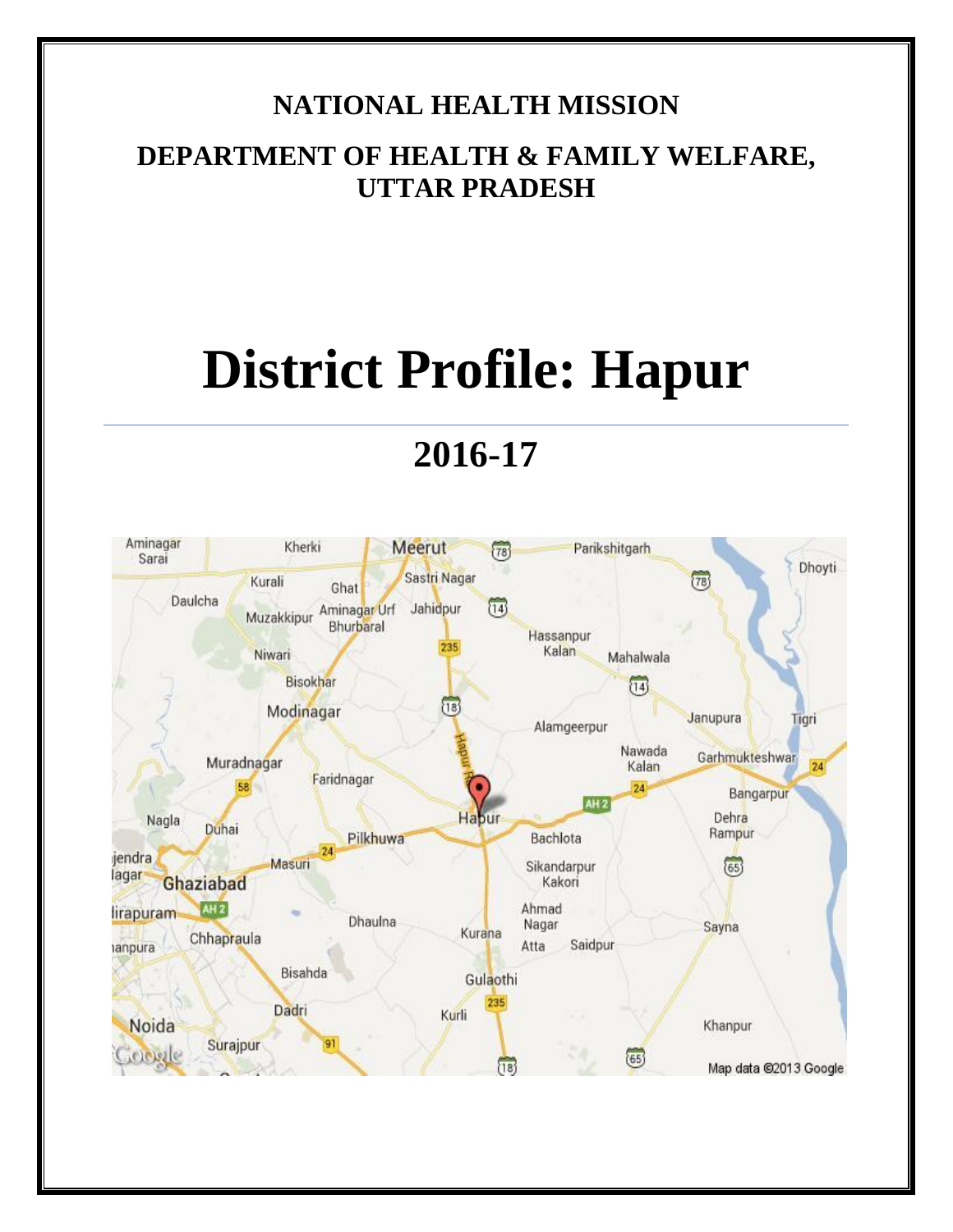# **NATIONAL HEALTH MISSION**

# **DEPARTMENT OF HEALTH & FAMILY WELFARE, UTTAR PRADESH**

# **District Profile: Hapur**

# **2016-17**

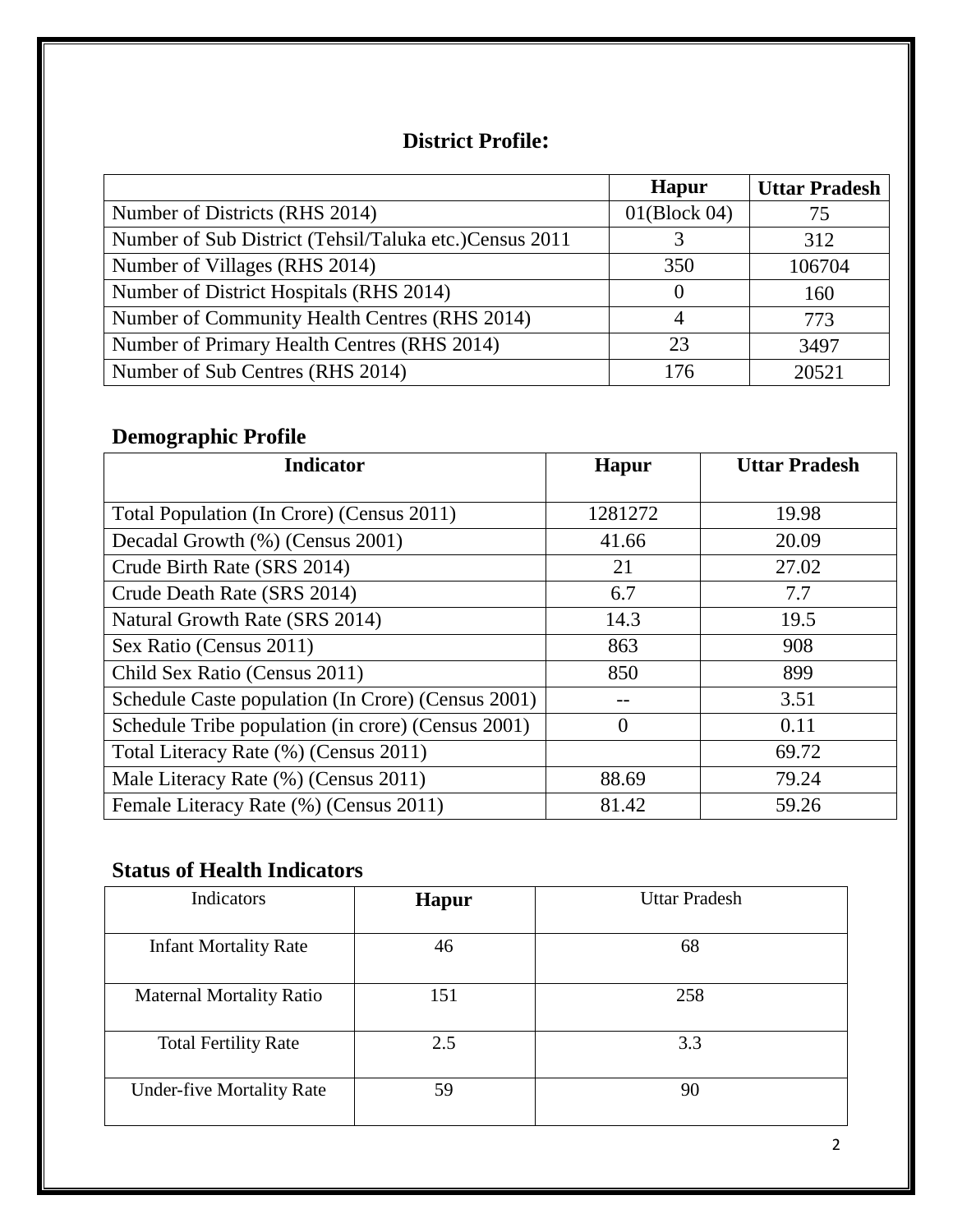### **District Profile:**

|                                                        | <b>Hapur</b> | <b>Uttar Pradesh</b> |
|--------------------------------------------------------|--------------|----------------------|
| Number of Districts (RHS 2014)                         | 01(Block 04) | 75                   |
| Number of Sub District (Tehsil/Taluka etc.)Census 2011 |              | 312                  |
| Number of Villages (RHS 2014)                          | 350          | 106704               |
| Number of District Hospitals (RHS 2014)                | $\theta$     | 160                  |
| Number of Community Health Centres (RHS 2014)          |              | 773                  |
| Number of Primary Health Centres (RHS 2014)            | 23           | 3497                 |
| Number of Sub Centres (RHS 2014)                       | 176          | 20521                |

# **Demographic Profile**

| <b>Indicator</b>                                   | <b>Hapur</b> | <b>Uttar Pradesh</b> |
|----------------------------------------------------|--------------|----------------------|
|                                                    |              |                      |
| Total Population (In Crore) (Census 2011)          | 1281272      | 19.98                |
| Decadal Growth (%) (Census 2001)                   | 41.66        | 20.09                |
| Crude Birth Rate (SRS 2014)                        | 21           | 27.02                |
| Crude Death Rate (SRS 2014)                        | 6.7          | 7.7                  |
| Natural Growth Rate (SRS 2014)                     | 14.3         | 19.5                 |
| Sex Ratio (Census 2011)                            | 863          | 908                  |
| Child Sex Ratio (Census 2011)                      | 850          | 899                  |
| Schedule Caste population (In Crore) (Census 2001) |              | 3.51                 |
| Schedule Tribe population (in crore) (Census 2001) | $\theta$     | 0.11                 |
| Total Literacy Rate (%) (Census 2011)              |              | 69.72                |
| Male Literacy Rate (%) (Census 2011)               | 88.69        | 79.24                |
| Female Literacy Rate (%) (Census 2011)             | 81.42        | 59.26                |

# **Status of Health Indicators**

| Indicators                       | <b>Hapur</b> | <b>Uttar Pradesh</b> |
|----------------------------------|--------------|----------------------|
| <b>Infant Mortality Rate</b>     | 46           | 68                   |
| <b>Maternal Mortality Ratio</b>  | 151          | 258                  |
| <b>Total Fertility Rate</b>      | 2.5          | 3.3                  |
| <b>Under-five Mortality Rate</b> | 59           | 90                   |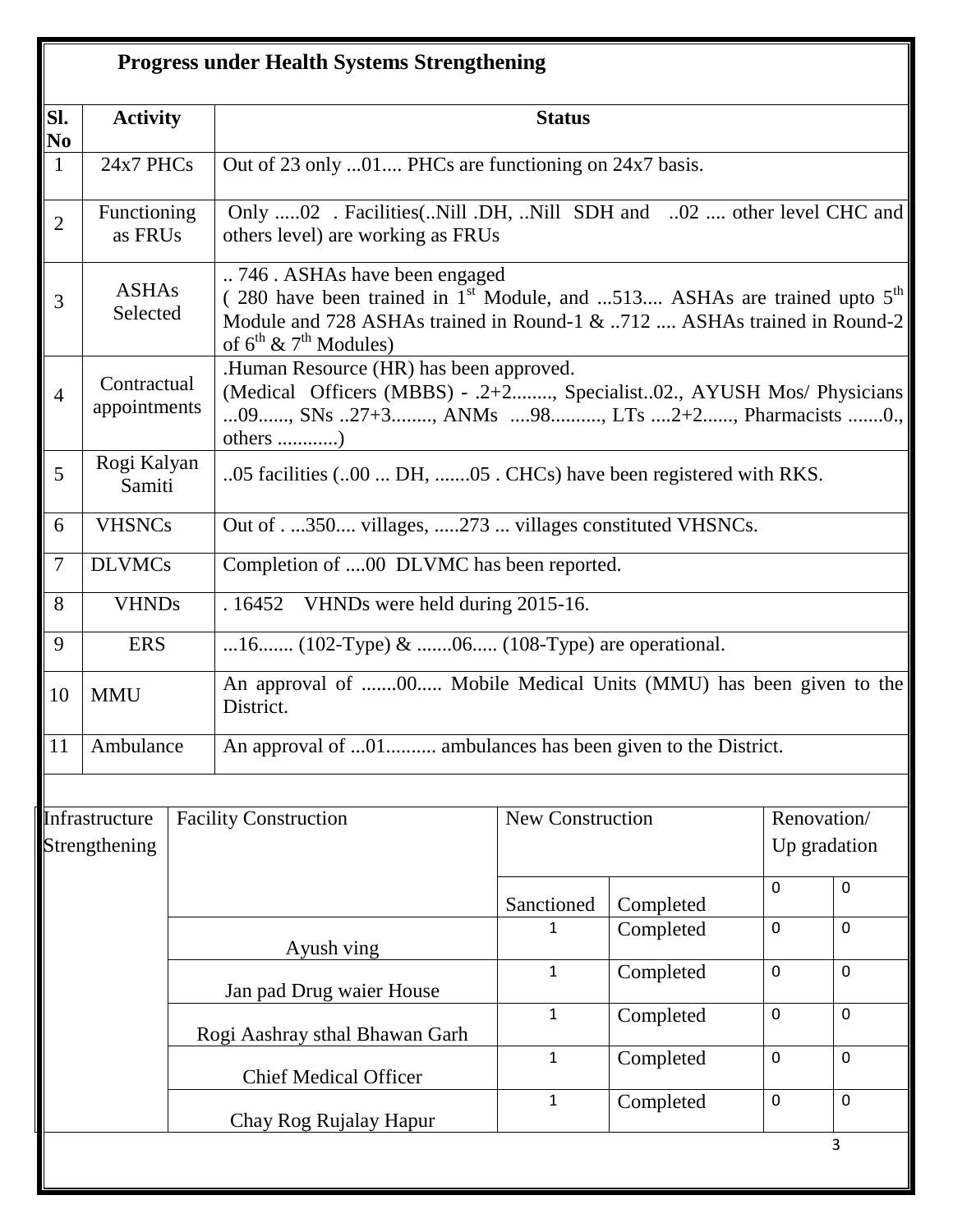|                | <b>Progress under Health Systems Strengthening</b> |  |                                                                                                                                                                                                                             |                                                                                                          |           |             |                             |  |
|----------------|----------------------------------------------------|--|-----------------------------------------------------------------------------------------------------------------------------------------------------------------------------------------------------------------------------|----------------------------------------------------------------------------------------------------------|-----------|-------------|-----------------------------|--|
| SI.<br>No      | <b>Activity</b>                                    |  |                                                                                                                                                                                                                             | <b>Status</b>                                                                                            |           |             |                             |  |
| $\mathbf{1}$   | 24x7 PHCs                                          |  | Out of 23 only 01 PHCs are functioning on 24x7 basis.                                                                                                                                                                       |                                                                                                          |           |             |                             |  |
| $\overline{2}$ | Functioning<br>as FRUs                             |  |                                                                                                                                                                                                                             | Only 02 . Facilities(Nill .DH, Nill SDH and 02  other level CHC and<br>others level) are working as FRUs |           |             |                             |  |
| 3              | <b>ASHAs</b><br>Selected                           |  | 746 . ASHAs have been engaged<br>(280 have been trained in $1st$ Module, and 513 ASHAs are trained upto $5th$<br>Module and 728 ASHAs trained in Round-1 & 712  ASHAs trained in Round-2<br>of $6^{th}$ & $7^{th}$ Modules) |                                                                                                          |           |             |                             |  |
| $\overline{4}$ | Contractual<br>appointments                        |  | .Human Resource (HR) has been approved.<br>(Medical Officers (MBBS) - .2+2, Specialist02., AYUSH Mos/ Physicians<br>09, SNs 27+3, ANMs 98, LTs 2+2, Pharmacists 0.,<br>others )                                             |                                                                                                          |           |             |                             |  |
| 5              | Rogi Kalyan<br>Samiti                              |  | 05 facilities (00  DH, 05 . CHCs) have been registered with RKS.                                                                                                                                                            |                                                                                                          |           |             |                             |  |
| 6              | <b>VHSNCs</b>                                      |  | Out of350 villages, 273  villages constituted VHSNCs.                                                                                                                                                                       |                                                                                                          |           |             |                             |  |
| $\overline{7}$ | <b>DLVMCs</b>                                      |  | Completion of 00 DLVMC has been reported.                                                                                                                                                                                   |                                                                                                          |           |             |                             |  |
| 8              | <b>VHNDs</b>                                       |  | VHNDs were held during 2015-16.<br>.16452                                                                                                                                                                                   |                                                                                                          |           |             |                             |  |
| 9              | <b>ERS</b>                                         |  | 16 (102-Type) & 06 (108-Type) are operational.                                                                                                                                                                              |                                                                                                          |           |             |                             |  |
| 10             | <b>MMU</b>                                         |  | District.                                                                                                                                                                                                                   | An approval of 00 Mobile Medical Units (MMU) has been given to the                                       |           |             |                             |  |
| 11             | Ambulance                                          |  | An approval of 01 ambulances has been given to the District.                                                                                                                                                                |                                                                                                          |           |             |                             |  |
|                |                                                    |  |                                                                                                                                                                                                                             |                                                                                                          |           |             |                             |  |
|                | Infrastructure<br>Strengthening                    |  | <b>Facility Construction</b>                                                                                                                                                                                                | <b>New Construction</b>                                                                                  |           |             | Renovation/<br>Up gradation |  |
|                |                                                    |  |                                                                                                                                                                                                                             | Sanctioned                                                                                               | Completed | 0           | $\pmb{0}$                   |  |
|                |                                                    |  | Ayush ving                                                                                                                                                                                                                  | 1                                                                                                        | Completed | $\mathbf 0$ | $\mathbf 0$                 |  |
|                |                                                    |  | Jan pad Drug waier House                                                                                                                                                                                                    | $\mathbf{1}$                                                                                             | Completed | $\mathbf 0$ | $\mathbf 0$                 |  |
|                |                                                    |  | Rogi Aashray sthal Bhawan Garh                                                                                                                                                                                              | $\mathbf{1}$                                                                                             | Completed | $\mathbf 0$ | $\mathbf 0$                 |  |
|                |                                                    |  | <b>Chief Medical Officer</b>                                                                                                                                                                                                | $\mathbf{1}$                                                                                             | Completed | $\mathbf 0$ | $\mathbf 0$                 |  |
|                |                                                    |  | Chay Rog Rujalay Hapur                                                                                                                                                                                                      | $\mathbf{1}$                                                                                             | Completed | $\mathbf 0$ | $\mathbf 0$                 |  |
|                |                                                    |  |                                                                                                                                                                                                                             |                                                                                                          |           |             | 3                           |  |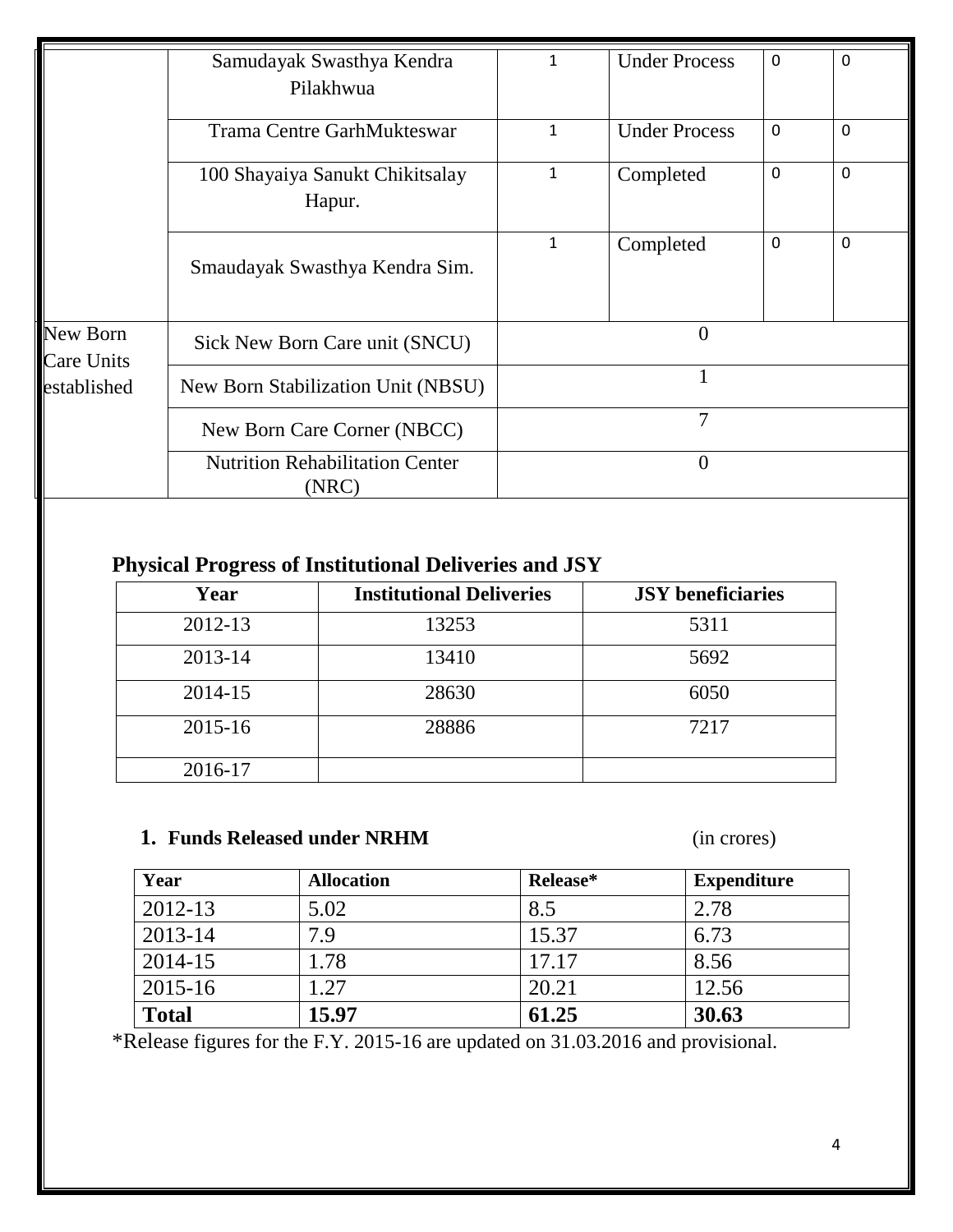|                               | Samudayak Swasthya Kendra<br>Pilakhwua          | $\mathbf 1$  | <b>Under Process</b> | 0 | $\mathbf 0$ |
|-------------------------------|-------------------------------------------------|--------------|----------------------|---|-------------|
|                               | <b>Trama Centre GarhMukteswar</b>               | $\mathbf{1}$ | <b>Under Process</b> | 0 | $\Omega$    |
|                               | 100 Shayaiya Sanukt Chikitsalay<br>Hapur.       | 1            | Completed            | 0 | $\mathbf 0$ |
|                               | Smaudayak Swasthya Kendra Sim.                  | $\mathbf{1}$ | Completed            | 0 | $\mathbf 0$ |
| New Born<br><b>Care Units</b> | Sick New Born Care unit (SNCU)                  | $\Omega$     |                      |   |             |
| established                   | New Born Stabilization Unit (NBSU)              |              |                      |   |             |
|                               | New Born Care Corner (NBCC)                     | 7            |                      |   |             |
|                               | <b>Nutrition Rehabilitation Center</b><br>(NRC) | $\theta$     |                      |   |             |

# **Physical Progress of Institutional Deliveries and JSY**

| Year    | <b>Institutional Deliveries</b> | <b>JSY</b> beneficiaries |
|---------|---------------------------------|--------------------------|
| 2012-13 | 13253                           | 5311                     |
| 2013-14 | 13410                           | 5692                     |
| 2014-15 | 28630                           | 6050                     |
| 2015-16 | 28886                           | 7217                     |
| 2016-17 |                                 |                          |

### **1. Funds Released under NRHM** (in crores)

| Year         | <b>Allocation</b> | Release* | <b>Expenditure</b> |
|--------------|-------------------|----------|--------------------|
| 2012-13      | 5.02              | 8.5      | 2.78               |
| 2013-14      | 7.9               | 15.37    | 6.73               |
| 2014-15      | 1.78              | 17.17    | 8.56               |
| $2015 - 16$  | 1.27              | 20.21    | 12.56              |
| <b>Total</b> | 15.97             | 61.25    | 30.63              |

\*Release figures for the F.Y. 2015-16 are updated on 31.03.2016 and provisional.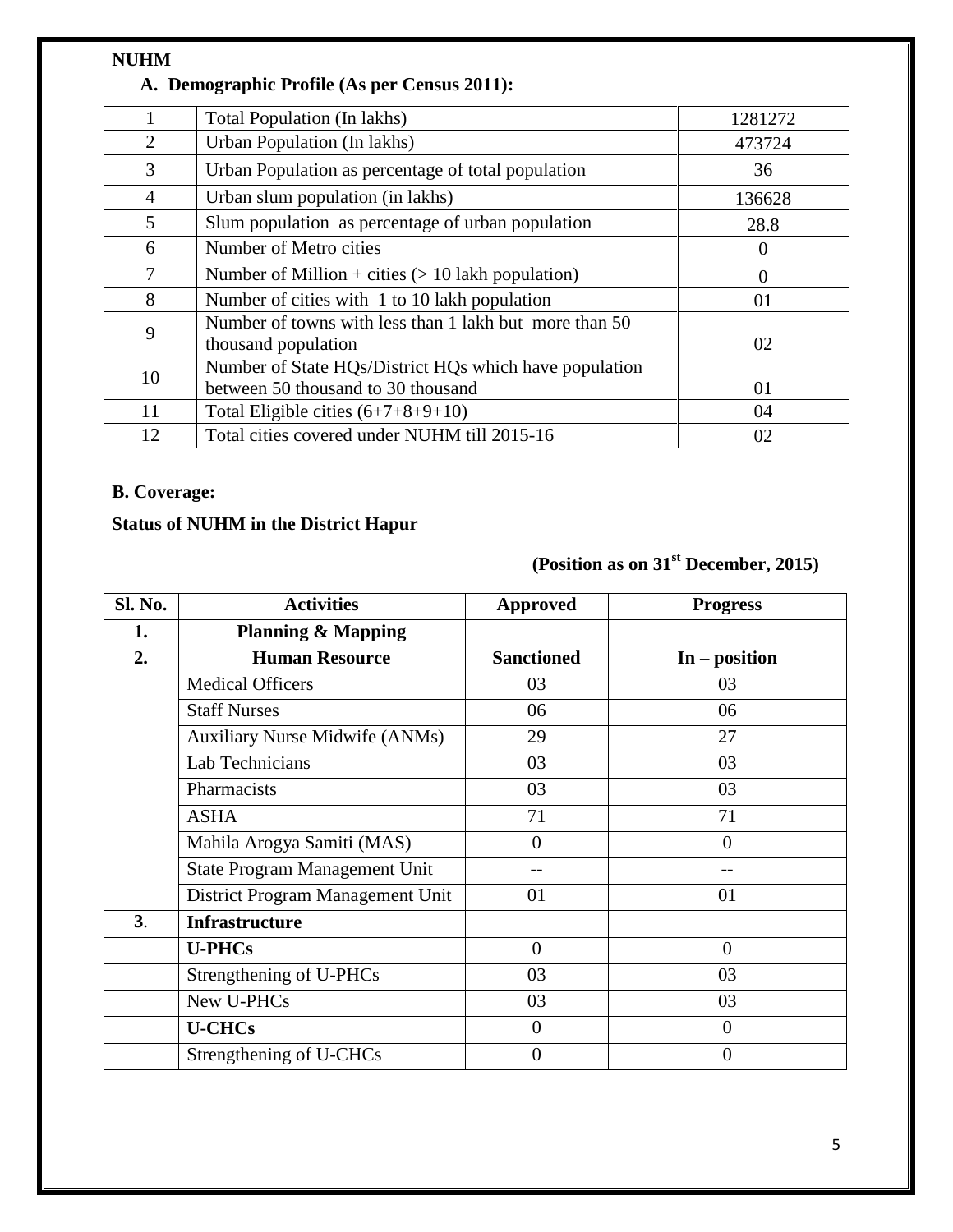### **NUHM**

### **A. Demographic Profile (As per Census 2011):**

|                | Total Population (In lakhs)                                                   | 1281272  |
|----------------|-------------------------------------------------------------------------------|----------|
| 2              | Urban Population (In lakhs)                                                   | 473724   |
| 3              | Urban Population as percentage of total population                            | 36       |
| $\overline{4}$ | Urban slum population (in lakhs)                                              | 136628   |
| 5              | Slum population as percentage of urban population                             | 28.8     |
| 6              | Number of Metro cities                                                        | O        |
| 7              | Number of Million + cities $(> 10$ lakh population)                           | $\theta$ |
| 8              | Number of cities with 1 to 10 lakh population                                 | 01       |
| 9              | Number of towns with less than 1 lakh but more than 50<br>thousand population | 02       |
| 10             | Number of State HQs/District HQs which have population                        |          |
|                | between 50 thousand to 30 thousand                                            | 01       |
| 11             | Total Eligible cities $(6+7+8+9+10)$                                          | 04       |
| 12             | Total cities covered under NUHM till 2015-16                                  | 02       |

### **B. Coverage:**

### **Status of NUHM in the District Hapur**

# **(Position as on 31st December, 2015)**

| Sl. No. | <b>Activities</b>                     | <b>Approved</b>   | <b>Progress</b> |
|---------|---------------------------------------|-------------------|-----------------|
| 1.      | <b>Planning &amp; Mapping</b>         |                   |                 |
| 2.      | <b>Human Resource</b>                 | <b>Sanctioned</b> | $In - position$ |
|         | <b>Medical Officers</b>               | 03                | 03              |
|         | <b>Staff Nurses</b>                   | 06                | 06              |
|         | <b>Auxiliary Nurse Midwife (ANMs)</b> | 29                | 27              |
|         | Lab Technicians                       | 03                | 03              |
|         | Pharmacists                           | 03                | 03              |
|         | <b>ASHA</b>                           | 71                | 71              |
|         | Mahila Arogya Samiti (MAS)            | $\overline{0}$    | $\overline{0}$  |
|         | <b>State Program Management Unit</b>  |                   |                 |
|         | District Program Management Unit      | 01                | 01              |
| 3.      | <b>Infrastructure</b>                 |                   |                 |
|         | <b>U-PHCs</b>                         | $\overline{0}$    | $\overline{0}$  |
|         | Strengthening of U-PHCs               | 03                | 03              |
|         | New U-PHCs                            | 03                | 03              |
|         | <b>U-CHCs</b>                         | $\overline{0}$    | $\overline{0}$  |
|         | Strengthening of U-CHCs               | $\overline{0}$    | $\overline{0}$  |